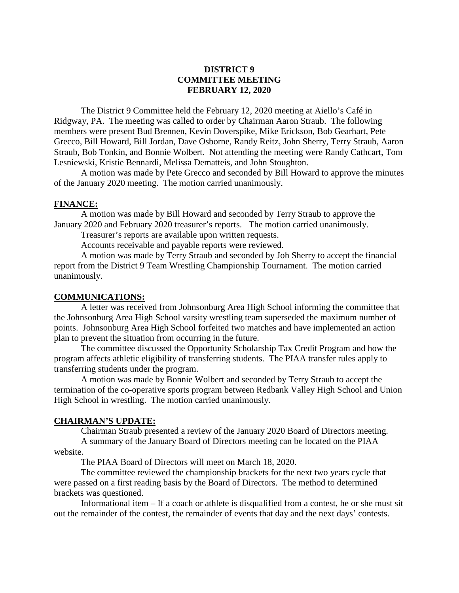# **DISTRICT 9 COMMITTEE MEETING FEBRUARY 12, 2020**

The District 9 Committee held the February 12, 2020 meeting at Aiello's Café in Ridgway, PA. The meeting was called to order by Chairman Aaron Straub. The following members were present Bud Brennen, Kevin Doverspike, Mike Erickson, Bob Gearhart, Pete Grecco, Bill Howard, Bill Jordan, Dave Osborne, Randy Reitz, John Sherry, Terry Straub, Aaron Straub, Bob Tonkin, and Bonnie Wolbert. Not attending the meeting were Randy Cathcart, Tom Lesniewski, Kristie Bennardi, Melissa Dematteis, and John Stoughton.

A motion was made by Pete Grecco and seconded by Bill Howard to approve the minutes of the January 2020 meeting. The motion carried unanimously.

### **FINANCE:**

A motion was made by Bill Howard and seconded by Terry Straub to approve the January 2020 and February 2020 treasurer's reports. The motion carried unanimously.

Treasurer's reports are available upon written requests.

Accounts receivable and payable reports were reviewed.

A motion was made by Terry Straub and seconded by Joh Sherry to accept the financial report from the District 9 Team Wrestling Championship Tournament. The motion carried unanimously.

#### **COMMUNICATIONS:**

A letter was received from Johnsonburg Area High School informing the committee that the Johnsonburg Area High School varsity wrestling team superseded the maximum number of points. Johnsonburg Area High School forfeited two matches and have implemented an action plan to prevent the situation from occurring in the future.

The committee discussed the Opportunity Scholarship Tax Credit Program and how the program affects athletic eligibility of transferring students. The PIAA transfer rules apply to transferring students under the program.

A motion was made by Bonnie Wolbert and seconded by Terry Straub to accept the termination of the co-operative sports program between Redbank Valley High School and Union High School in wrestling. The motion carried unanimously.

### **CHAIRMAN'S UPDATE:**

Chairman Straub presented a review of the January 2020 Board of Directors meeting. A summary of the January Board of Directors meeting can be located on the PIAA website.

The PIAA Board of Directors will meet on March 18, 2020.

The committee reviewed the championship brackets for the next two years cycle that were passed on a first reading basis by the Board of Directors. The method to determined brackets was questioned.

Informational item – If a coach or athlete is disqualified from a contest, he or she must sit out the remainder of the contest, the remainder of events that day and the next days' contests.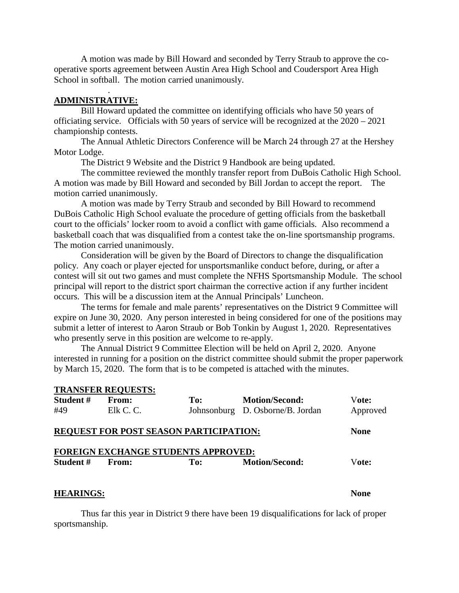A motion was made by Bill Howard and seconded by Terry Straub to approve the cooperative sports agreement between Austin Area High School and Coudersport Area High School in softball. The motion carried unanimously.

## **ADMINISTRATIVE:**

.

Bill Howard updated the committee on identifying officials who have 50 years of officiating service. Officials with 50 years of service will be recognized at the 2020 – 2021 championship contests.

The Annual Athletic Directors Conference will be March 24 through 27 at the Hershey Motor Lodge.

The District 9 Website and the District 9 Handbook are being updated.

The committee reviewed the monthly transfer report from DuBois Catholic High School. A motion was made by Bill Howard and seconded by Bill Jordan to accept the report. The motion carried unanimously.

A motion was made by Terry Straub and seconded by Bill Howard to recommend DuBois Catholic High School evaluate the procedure of getting officials from the basketball court to the officials' locker room to avoid a conflict with game officials. Also recommend a basketball coach that was disqualified from a contest take the on-line sportsmanship programs. The motion carried unanimously.

Consideration will be given by the Board of Directors to change the disqualification policy. Any coach or player ejected for unsportsmanlike conduct before, during, or after a contest will sit out two games and must complete the NFHS Sportsmanship Module. The school principal will report to the district sport chairman the corrective action if any further incident occurs. This will be a discussion item at the Annual Principals' Luncheon.

The terms for female and male parents' representatives on the District 9 Committee will expire on June 30, 2020. Any person interested in being considered for one of the positions may submit a letter of interest to Aaron Straub or Bob Tonkin by August 1, 2020. Representatives who presently serve in this position are welcome to re-apply.

The Annual District 9 Committee Election will be held on April 2, 2020. Anyone interested in running for a position on the district committee should submit the proper paperwork by March 15, 2020. The form that is to be competed is attached with the minutes.

|                  | <b>TRANSFER REQUESTS:</b> |                                               |                                  |             |
|------------------|---------------------------|-----------------------------------------------|----------------------------------|-------------|
| Student#         | From:                     | To:                                           | <b>Motion/Second:</b>            | Vote:       |
| #49              | Elk C. C.                 |                                               | Johnsonburg D. Osborne/B. Jordan | Approved    |
|                  |                           | <b>REQUEST FOR POST SEASON PARTICIPATION:</b> |                                  | <b>None</b> |
|                  |                           | FOREIGN EXCHANGE STUDENTS APPROVED:           |                                  |             |
| Student #        | From:                     | To:                                           | <b>Motion/Second:</b>            | Vote:       |
| <b>HEARINGS:</b> |                           |                                               |                                  | None        |

Thus far this year in District 9 there have been 19 disqualifications for lack of proper sportsmanship.